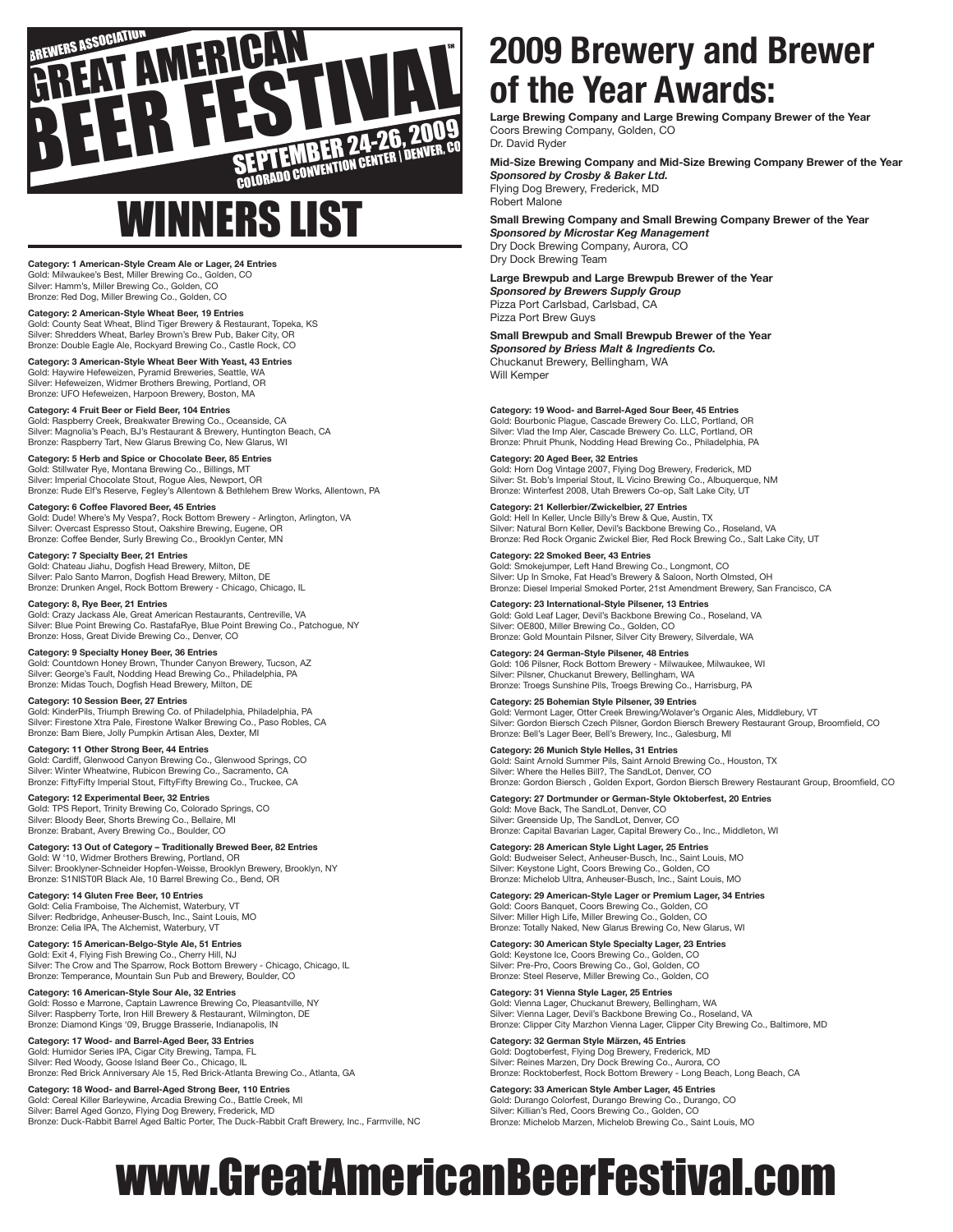

## WINNERS LIST

**Category: 1 American-Style Cream Ale or Lager, 24 Entries** Gold: Milwaukee's Best, Miller Brewing Co., Golden, CO Silver: Hamm's, Miller Brewing Co., Golden, CO Bronze: Red Dog, Miller Brewing Co., Golden, CO

**Category: 2 American-Style Wheat Beer, 19 Entries** Gold: County Seat Wheat, Blind Tiger Brewery & Restaurant, Topeka, KS Silver: Shredders Wheat, Barley Brown's Brew Pub, Baker City, OR Bronze: Double Eagle Ale, Rockyard Brewing Co., Castle Rock, CO

**Category: 3 American-Style Wheat Beer With Yeast, 43 Entries** Gold: Haywire Hefeweizen, Pyramid Breweries, Seattle, WA Silver: Hefeweizen, Widmer Brothers Brewing, Portland, OR Bronze: UFO Hefeweizen, Harpoon Brewery, Boston, MA

**Category: 4 Fruit Beer or Field Beer, 104 Entries** Gold: Raspberry Creek, Breakwater Brewing Co., Oceanside, CA Silver: Magnolia's Peach, BJ's Restaurant & Brewery, Huntington Beach, CA Bronze: Raspberry Tart, New Glarus Brewing Co, New Glarus, WI

**Category: 5 Herb and Spice or Chocolate Beer, 85 Entries** Gold: Stillwater Rye, Montana Brewing Co., Billings, MT Silver: Imperial Chocolate Stout, Rogue Ales, Newport, OR Bronze: Rude Elf's Reserve, Fegley's Allentown & Bethlehem Brew Works, Allentown, PA

**Category: 6 Coffee Flavored Beer, 45 Entries** Gold: Dude! Where's My Vespa?, Rock Bottom Brewery - Arlington, Arlington, VA Silver: Overcast Espresso Stout, Oakshire Brewing, Eugene, OR Bronze: Coffee Bender, Surly Brewing Co., Brooklyn Center, MN

**Category: 7 Specialty Beer, 21 Entries** Gold: Chateau Jiahu, Dogfish Head Brewery, Milton, DE Silver: Palo Santo Marron, Dogfish Head Brewery, Milton, DE Bronze: Drunken Angel, Rock Bottom Brewery - Chicago, Chicago, IL

**Category: 8, Rye Beer, 21 Entries** Gold: Crazy Jackass Ale, Great American Restaurants, Centreville, VA<br>Silver: Blue Point Brewing Co. RastafaRye, Blue Point Brewing Co., Patchogue, NY<br>Bronze: Hoss, Great Divide Brewing Co., Denver, CO

**Category: 9 Specialty Honey Beer, 36 Entries** Gold: Countdown Honey Brown, Thunder Canyon Brewery, Tucson, AZ Silver: George's Fault, Nodding Head Brewing Co., Philadelphia, PA Bronze: Midas Touch, Dogfish Head Brewery, Milton, DE

**Category: 10 Session Beer, 27 Entries** Gold: KinderPils, Triumph Brewing Co. of Philadelphia, Philadelphia, PA Silver: Firestone Xtra Pale, Firestone Walker Brewing Co., Paso Robles, CA Bronze: Bam Biere, Jolly Pumpkin Artisan Ales, Dexter, MI

**Category: 11 Other Strong Beer, 44 Entries** Gold: Cardiff, Glenwood Canyon Brewing Co., Glenwood Springs, CO Silver: Winter Wheatwine, Rubicon Brewing Co., Sacramento, C Bronze: FiftyFifty Imperial Stout, FiftyFifty Brewing Co., Truckee, CA

**Category: 12 Experimental Beer, 32 Entries** Gold: TPS Report, Trinity Brewing Co, Colorado Springs, CO Silver: Bloody Beer, Shorts Brewing Co., Bellaire, MI Bronze: Brabant, Avery Brewing Co., Boulder, CO

**Category: 13 Out of Category – Traditionally Brewed Beer, 82 Entries** Gold: W '10, Widmer Brothers Brewing, Portland, OR Silver: Brooklyner-Schneider Hopfen-Weisse, Brooklyn Brewery, Brooklyn, NY Bronze: S1NIST0R Black Ale, 10 Barrel Brewing Co., Bend, OR

**Category: 14 Gluten Free Beer, 10 Entries** Gold: Celia Framboise, The Alchemist, Waterbury, VT Silver: Redbridge, Anheuser-Busch, Inc., Saint Louis, MO Bronze: Celia IPA, The Alchemist, Waterbury, VT

**Category: 15 American-Belgo-Style Ale, 51 Entries** Gold: Exit 4, Flying Fish Brewing Co., Cherry Hill, NJ Silver: The Crow and The Sparrow, Rock Bottom Brewery - Chicago, Chicago, IL Bronze: Temperance, Mountain Sun Pub and Brewery, Boulder, CO

**Category: 16 American-Style Sour Ale, 32 Entries** Gold: Rosso e Marrone, Captain Lawrence Brewing Co, Pleasantville, NY Silver: Raspberry Torte, Iron Hill Brewery & Restaurant, Wilmington, DE Bronze: Diamond Kings '09, Brugge Brasserie, Indianapolis, IN

**Category: 17 Wood- and Barrel-Aged Beer, 33 Entries** Gold: Humidor Series IPA, Cigar City Brewing, Tampa, FL Silver: Red Woody, Goose Island Beer Co., Chicago, IL Bronze: Red Brick Anniversary Ale 15, Red Brick-Atlanta Brewing Co., Atlanta, GA

**Category: 18 Wood- and Barrel-Aged Strong Beer, 110 Entries** Gold: Cereal Killer Barleywine, Arcadia Brewing Co., Battle Creek, MI Silver: Barrel Aged Gonzo, Flying Dog Brewery, Frederick, MD Bronze: Duck-Rabbit Barrel Aged Baltic Porter, The Duck-Rabbit Craft Brewery, Inc., Farmville, NC

## **2009 Brewery and Brewer of the Year Awards:**

**Large Brewing Company and Large Brewing Company Brewer of the Year** Coors Brewing Company, Golden, CO Dr. David Ryder

**Mid-Size Brewing Company and Mid-Size Brewing Company Brewer of the Year** *Sponsored by Crosby & Baker Ltd.* Flying Dog Brewery, Frederick, MD Robert Malone

**Small Brewing Company and Small Brewing Company Brewer of the Year** *Sponsored by Microstar Keg Management* Dry Dock Brewing Company, Aurora, CO

Dry Dock Brewing Team

**Large Brewpub and Large Brewpub Brewer of the Year** *Sponsored by Brewers Supply Group*

Pizza Port Carlsbad, Carlsbad, CA Pizza Port Brew Guys

**Small Brewpub and Small Brewpub Brewer of the Year** *Sponsored by Briess Malt & Ingredients Co.* Chuckanut Brewery, Bellingham, WA Will Kemper

**Category: 19 Wood- and Barrel-Aged Sour Beer, 45 Entries** Gold: Bourbonic Plague, Cascade Brewery Co. LLC, Portland, OR Silver: Vlad the Imp Aler, Cascade Brewery Co. LLC, Portland, OR Bronze: Phruit Phunk, Nodding Head Brewing Co., Philadelphia, PA

**Category: 20 Aged Beer, 32 Entries** Gold: Horn Dog Vintage 2007, Flying Dog Brewery, Frederick, MD Silver: St. Bob's Imperial Stout, IL Vicino Brewing Co., Albuquerque, NM Bronze: Winterfest 2008, Utah Brewers Co-op, Salt Lake City, UT

**Category: 21 Kellerbier/Zwickelbier, 27 Entries** Gold: Hell In Keller, Uncle Billy's Brew & Que, Austin, TX Silver: Natural Born Keller, Devil's Backbone Brewing Co., Roseland, VA Bronze: Red Rock Organic Zwickel Bier, Red Rock Brewing Co., Salt Lake City, UT

**Category: 22 Smoked Beer, 43 Entries** Gold: Smokejumper, Left Hand Brewing Co., Longmont, CO Silver: Up In Smoke, Fat Head's Brewery & Saloon, North Olmsted, OH Bronze: Diesel Imperial Smoked Porter, 21st Amendment Brewery, San Francisco, CA

**Category: 23 International-Style Pilsener, 13 Entries** Gold: Gold Leaf Lager, Devil's Backbone Brewing Co., Roseland, VA Silver: OE800, Miller Brewing Co., Golden, CO Bronze: Gold Mountain Pilsner, Silver City Brewery, Silverdale, WA

**Category: 24 German-Style Pilsener, 48 Entries** Gold: 106 Pilsner, Rock Bottom Brewery - Milwaukee, Milwaukee, WI Silver: Pilsner, Chuckanut Brewery, Bellingham, WA Bronze: Troegs Sunshine Pils, Troegs Brewing Co., Harrisburg, PA

**Category: 25 Bohemian Style Pilsener, 39 Entries** Gold: Vermont Lager, Otter Creek Brewing/Wolaver's Organic Ales, Middlebury, VT Silver: Gordon Biersch Czech Pilsner, Gordon Biersch Brewery Restaurant Group, Broomfield, CO Bronze: Bell's Lager Beer, Bell's Brewery, Inc., Galesburg, MI

**Category: 26 Munich Style Helles, 31 Entries** Gold: Saint Arnold Summer Pils, Saint Arnold Brewing Co., Houston, TX Silver: Where the Helles Bill?, The SandLot, Denver, CO Bronze: Gordon Biersch , Golden Export, Gordon Biersch Brewery Restaurant Group, Broomfield, CO

**Category: 27 Dortmunder or German-Style Oktoberfest, 20 Entries** Gold: Move Back, The SandLot, Denver, CO Silver: Greenside Up, The SandLot, Denver, CO Bronze: Capital Bavarian Lager, Capital Brewery Co., Inc., Middleton, WI

**Category: 28 American Style Light Lager, 25 Entries** Gold: Budweiser Select, Anheuser-Busch, Inc., Saint Louis, MO Silver: Keystone Light, Coors Brewing Co., Golden, CO Bronze: Michelob Ultra, Anheuser-Busch, Inc., Saint Louis, MO

**Category: 29 American-Style Lager or Premium Lager, 34 Entries** Gold: Coors Banquet, Coors Brewing Co., Golden, CO Silver: Miller High Life, Miller Brewing Co., Golden, CO Bronze: Totally Naked, New Glarus Brewing Co, New Glarus, WI

Category: 30 American Style Specialty Lager, 23 Entri Gold: Keystone Ice, Coors Brewing Co., Golden, CO Silver: Pre-Pro, Coors Brewing Co., Gol, Golden, CO Bronze: Steel Reserve, Miller Brewing Co., Golden, CO

**Category: 31 Vienna Style Lager, 25 Entries** Gold: Vienna Lager, Chuckanut Brewery, Bellingham, WA Silver: Vienna Lager, Devil's Backbone Brewing Co., Roseland, VA Bronze: Clipper City Marzhon Vienna Lager, Clipper City Brewing Co., Baltimore, MD

**Category: 32 German Style Märzen, 45 Entries** Gold: Dogtoberfest, Flying Dog Brewery, Frederick, MD Silver: Reines Marzen, Dry Dock Brewing Co., Aurora, CO Bronze: Rocktoberfest, Rock Bottom Brewery - Long Beach, Long Beach, CA

**Category: 33 American Style Amber Lager, 45 Entries** Gold: Durango Colorfest, Durango Brewing Co., Durango, CO Silver: Killian's Red, Coors Brewing Co., Golden, CO Bronze: Michelob Marzen, Michelob Brewing Co., Saint Louis, MO

## www.GreatAmericanBeerFestival.com